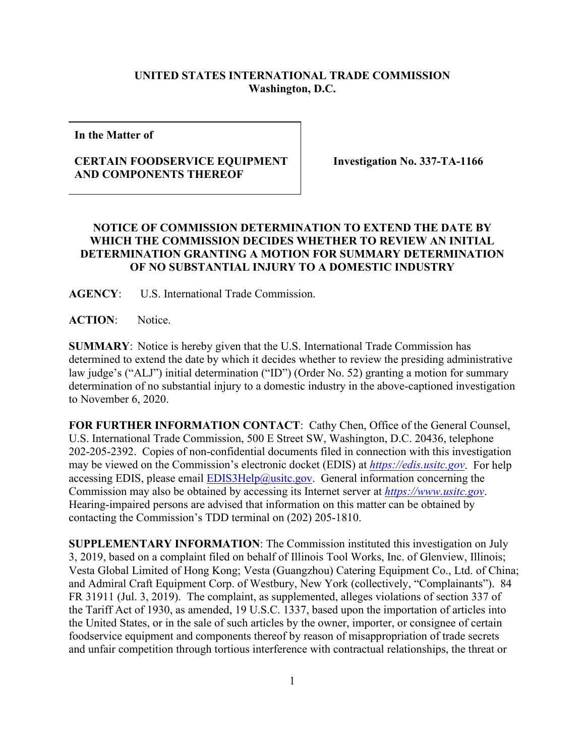## **UNITED STATES INTERNATIONAL TRADE COMMISSION Washington, D.C.**

**In the Matter of**

## **CERTAIN FOODSERVICE EQUIPMENT AND COMPONENTS THEREOF**

**Investigation No. 337-TA-1166**

## **NOTICE OF COMMISSION DETERMINATION TO EXTEND THE DATE BY WHICH THE COMMISSION DECIDES WHETHER TO REVIEW AN INITIAL DETERMINATION GRANTING A MOTION FOR SUMMARY DETERMINATION OF NO SUBSTANTIAL INJURY TO A DOMESTIC INDUSTRY**

**AGENCY**: U.S. International Trade Commission.

**ACTION**: Notice.

**SUMMARY**: Notice is hereby given that the U.S. International Trade Commission has determined to extend the date by which it decides whether to review the presiding administrative law judge's ("ALJ") initial determination ("ID") (Order No. 52) granting a motion for summary determination of no substantial injury to a domestic industry in the above-captioned investigation to November 6, 2020.

**FOR FURTHER INFORMATION CONTACT**: Cathy Chen, Office of the General Counsel, U.S. International Trade Commission, 500 E Street SW, Washington, D.C. 20436, telephone 202-205-2392. Copies of non-confidential documents filed in connection with this investigation may be viewed on the Commission's electronic docket (EDIS) at *[https://edis.usitc.gov](https://edis.usitc.gov/)*. For help accessing EDIS, please email  $EDIS3Help@usite.gov$ . General information concerning the Commission may also be obtained by accessing its Internet server at *[https://www.usitc.gov](https://www.usitc.gov/)*. Hearing-impaired persons are advised that information on this matter can be obtained by contacting the Commission's TDD terminal on (202) 205-1810.

**SUPPLEMENTARY INFORMATION**: The Commission instituted this investigation on July 3, 2019, based on a complaint filed on behalf of Illinois Tool Works, Inc. of Glenview, Illinois; Vesta Global Limited of Hong Kong; Vesta (Guangzhou) Catering Equipment Co., Ltd. of China; and Admiral Craft Equipment Corp. of Westbury, New York (collectively, "Complainants"). 84 FR 31911 (Jul. 3, 2019). The complaint, as supplemented, alleges violations of section 337 of the Tariff Act of 1930, as amended, 19 U.S.C. 1337, based upon the importation of articles into the United States, or in the sale of such articles by the owner, importer, or consignee of certain foodservice equipment and components thereof by reason of misappropriation of trade secrets and unfair competition through tortious interference with contractual relationships, the threat or